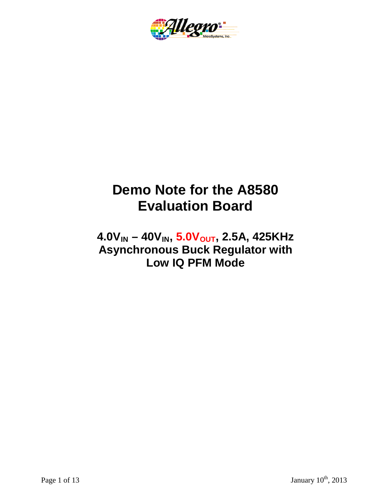

# **Demo Note for the A8580 Evaluation Board**

 $4.0V_{IN} - 40V_{IN}$ ,  $5.0V_{OUT}$ , 2.5A, 425KHz **Asynchronous Buck Regulator with Low IQ PFM Mode**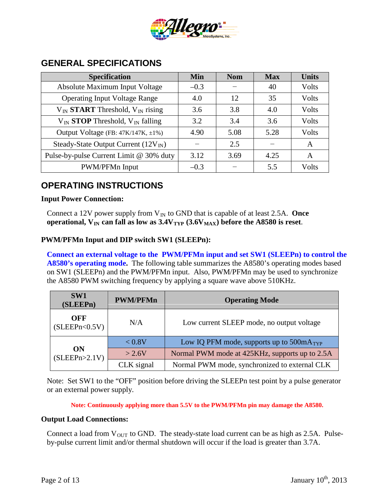

| <b>Specification</b>                             | <b>Min</b> | <b>Nom</b> | <b>Max</b> | <b>Units</b> |
|--------------------------------------------------|------------|------------|------------|--------------|
| Absolute Maximum Input Voltage                   | $-0.3$     |            | 40         | Volts        |
| <b>Operating Input Voltage Range</b>             | 4.0        | 12         | 35         | Volts        |
| $V_{IN}$ START Threshold, $V_{IN}$ rising        | 3.6        | 3.8        | 4.0        | Volts        |
| $V_{IN}$ <b>STOP</b> Threshold, $V_{IN}$ falling | 3.2        | 3.4        | 3.6        | Volts        |
| Output Voltage (FB: 47K/147K, ±1%)               | 4.90       | 5.08       | 5.28       | Volts        |
| Steady-State Output Current $(12V_{IN})$         |            | 2.5        |            | A            |
| Pulse-by-pulse Current Limit @ 30% duty          | 3.12       | 3.69       | 4.25       | A            |
| PWM/PFMn Input                                   | $-0.3$     |            | 5.5        | Volts        |

#### **GENERAL SPECIFICATIONS**

## **OPERATING INSTRUCTIONS**

#### **Input Power Connection:**

Connect a 12V power supply from  $V_{IN}$  to GND that is capable of at least 2.5A. Once **operational,**  $V_{IN}$  **can fall as low as**  $3.4V_{TYP}$  $(3.6V_{MAX})$  **before the A8580 is reset.** 

#### **PWM/PFMn Input and DIP switch SW1 (SLEEPn):**

**Connect an external voltage to the PWM/PFMn input and set SW1 (SLEEPn) to control the A8580's operating mode.** The following table summarizes the A8580's operating modes based on SW1 (SLEEPn) and the PWM/PFMn input. Also, PWM/PFMn may be used to synchronize the A8580 PWM switching frequency by applying a square wave above 510KHz.

| SW1<br>(SLEEPn)        | <b>PWM/PFMn</b> | <b>Operating Mode</b>                          |  |
|------------------------|-----------------|------------------------------------------------|--|
| OFF<br>(SLEEPh < 0.5V) | N/A             | Low current SLEEP mode, no output voltage      |  |
| ON<br>(SLEEPn>2.1V)    | < 0.8V          | Low IQ PFM mode, supports up to $500mA_{TYP}$  |  |
|                        | >2.6V           | Normal PWM mode at 425KHz, supports up to 2.5A |  |
|                        | CLK signal      | Normal PWM mode, synchronized to external CLK  |  |

Note: Set SW1 to the "OFF" position before driving the SLEEPn test point by a pulse generator or an external power supply.

**Note: Continuously applying more than 5.5V to the PWM/PFMn pin may damage the A8580.**

#### **Output Load Connections:**

Connect a load from  $V_{OUT}$  to GND. The steady-state load current can be as high as 2.5A. Pulseby-pulse current limit and/or thermal shutdown will occur if the load is greater than 3.7A.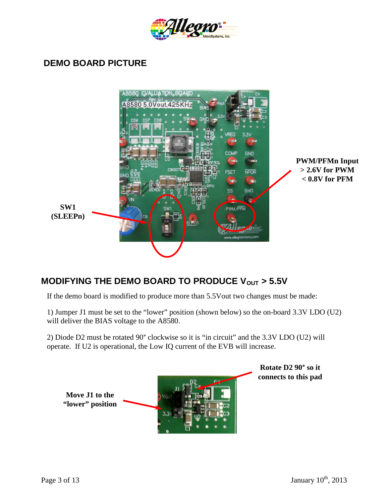

#### **DEMO BOARD PICTURE**



## **MODIFYING THE DEMO BOARD TO PRODUCE V<sub>OUT</sub> > 5.5V**

If the demo board is modified to produce more than 5.5Vout two changes must be made:

1) Jumper J1 must be set to the "lower" position (shown below) so the on-board 3.3V LDO (U2) will deliver the BIAS voltage to the A8580.

2) Diode D2 must be rotated 90° clockwise so it is "in circuit" and the 3.3V LDO (U2) will operate. If U2 is operational, the Low IQ current of the EVB will increase.



**Rotate D2 90° so it connects to this pad**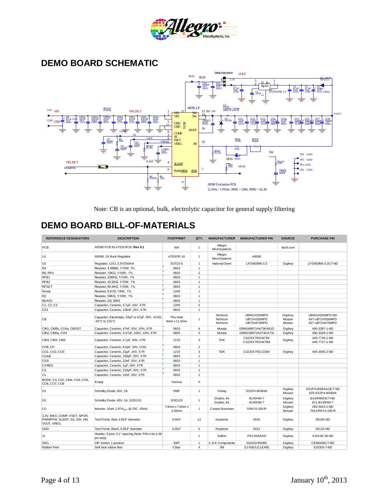

# **DEMO BOARD SCHEMATIC**



Note: CB is an optional, bulk, electrolytic capacitor for general supply filtering

## **DEMO BOARD BILL-OF-MATERIALS**

| <b>REFERENCE DESIGNATORS</b>                                                 | <b>DESCRIPTION</b>                                                   | <b>FOOTPRINT</b>          | QTY.           | <b>MANUFACTURER</b>              | <b>MANUFACTURER P/N</b>                   | <b>SOURCE</b>               | <b>PURCHASE P/N</b>                                  |
|------------------------------------------------------------------------------|----------------------------------------------------------------------|---------------------------|----------------|----------------------------------|-------------------------------------------|-----------------------------|------------------------------------------------------|
| PCB                                                                          | A8580 PCB for eTSSOP16, Rev 0.1                                      | N/A                       | $\overline{1}$ | Allegro<br>MicroSystems          |                                           | 4pcb.com                    |                                                      |
| U <sub>1</sub>                                                               | A8580, 2A Buck Regulator                                             | eTSSOP-16                 | $\overline{1}$ | Allegro<br>MicroSystems          | A8580                                     |                             |                                                      |
| U <sub>2</sub>                                                               | Regulator, LDO, 3.3V/250mA                                           | SOT23-5                   | $\overline{1}$ | National Semi                    | LP2992IM5-3.3                             | Digikey                     | LP2992IM5-3.3CT-ND                                   |
| R <sub>4</sub>                                                               | Resistor, 4.99ΜΩ, 1/10W, 1%                                          | 0603                      | $\overline{1}$ |                                  |                                           |                             |                                                      |
| R6, RPU                                                                      | Resistor, 10ΚΩ, 1/10W, 1%                                            | 0603                      | $\overline{2}$ |                                  |                                           |                             |                                                      |
| RFB1                                                                         | Resistor, 226KΩ, 1/10W, 1%                                           | 0603                      | $\overline{1}$ |                                  |                                           |                             |                                                      |
| RFB <sub>2</sub>                                                             | Resistor, 42.2KΩ, 1/10W, 1%                                          | 0603                      | $\overline{1}$ |                                  |                                           |                             |                                                      |
| <b>RFSET</b>                                                                 | Resistor, 60.4KΩ, 1/10W, 1%                                          | 0603                      | $\overline{1}$ |                                  |                                           |                             |                                                      |
| Rsnub                                                                        | Resistor, 6.81Ω, 1/4W, 1%                                            | 1206                      | $\overline{1}$ |                                  |                                           |                             |                                                      |
| <b>RZ</b>                                                                    | Resistor, 59ΚΩ, 1/10W, 1%                                            | 0603                      | $\overline{1}$ |                                  |                                           |                             |                                                      |
| BEAD1                                                                        | Resistor, $0\Omega$ , 0805                                           | 0805                      | $\overline{1}$ |                                  |                                           |                             |                                                      |
| C1, C2, C3                                                                   | Capacitor, Ceramic, 4.7µF, 16V, X7R                                  | 1206                      | 3              |                                  |                                           |                             |                                                      |
| C <sub>53</sub>                                                              | Capacitor, Ceramic, 100nF, 25V, X7R                                  | 0603                      | $\overline{1}$ |                                  |                                           |                             |                                                      |
| <b>CB</b>                                                                    | Capacitor, Electrolytic, 33μF or 47μF, 50V, <0.5Ω,<br>-40°C to 125°C | Thru Hole<br>8mm x 11.5mm | $\overline{1}$ | Nichicon<br>Nichicon<br>Nichicon | UBW1H330MPD<br>UBT1H330MPD<br>UBT1H470MPD | DigiKey<br>Mouser<br>Mouser | UBW1H330MPD-ND<br>647-UBT1H330MPD<br>647-UBT1H470MPD |
| CIN1, CIN5b, CO4a, CBOOT                                                     | Capacitor, Ceramic, 47nF, 50V, 10%, X7R                              | 0603                      | $\overline{4}$ | Murata                           | GRM188R71H473KA61D                        | Digikey                     | 490-3287-1-ND                                        |
| CIN2, CIN5a, CO4                                                             | Capacitor, Ceramic, 0.47uF, 100V, 10%, X7R                           | 0805                      | 3              | Murata                           | GRM21BR72A474KA73L                        | Digikey                     | 490-3326-1-ND                                        |
| CIN3, CIN4, CIN5                                                             | Capacitor, Ceramic, 4.7µF, 50V, X7R                                  | 1210                      | 3              | <b>TDK</b>                       | C3225X7R1H475K<br>C3225X7R1H475M          | Digikey                     | 445-7726-1-ND<br>445-7727-1-ND                       |
| CFB, CP                                                                      | Capacitor, Ceramic, 8.0pF, 50V, COG                                  | 0603                      | $\overline{2}$ |                                  |                                           |                             |                                                      |
| CO1, CO2, CO3                                                                | Capacitor, Ceramic, 22µF, 16V, X7R                                   | 1210                      | 3              | <b>TDK</b>                       | C3225X7R1C226K                            | Digikey                     | 445-3945-2-ND                                        |
| Csnub                                                                        | Capacitor, Ceramic, 330pF, 50V, X7R                                  | 0603                      | $\overline{1}$ |                                  |                                           |                             |                                                      |
| <b>CSS</b>                                                                   | Capacitor, Ceramic, 22nF, 50V, X7R                                   | 0603                      | $\overline{1}$ |                                  |                                           |                             |                                                      |
| <b>CVREG</b>                                                                 | Capacitor, Ceramic, 1µF, 50V, X7R                                    | 0603                      | $\overline{1}$ |                                  |                                           |                             |                                                      |
| <b>CZ</b>                                                                    | Capacitor, Ceramic, 220pF, 50V, X7R                                  | 0603                      | $\overline{1}$ |                                  |                                           |                             |                                                      |
| Cx                                                                           | Capacitor, Ceramic, 10nF, 50V, X7R                                   | 0603                      | $\overline{1}$ |                                  |                                           |                             |                                                      |
| BODE, C4, C52, CIN4, CO4, CO5,<br>CO6, CO7, CO8                              | Empty                                                                | Various                   | $\mathbf 0$    |                                  |                                           |                             |                                                      |
| D <sub>1</sub>                                                               | Schottky Diode, 40V, 2A                                              | <b>SMP</b>                | $\overline{1}$ | Vishay                           | SS2P4-M3/84A                              | Digikey<br>Mouser           | SS2P4-M3/84AGICT-ND<br>625-SS2P4-M3/84A              |
| D <sub>2</sub>                                                               | Schottky Diode, 40V, 1A, SOD123                                      | SOD123                    | $\overline{1}$ | Diodes, Inc.<br>Diodes, Inc.     | B140HW-7<br>B140HW-7                      | Digikey<br>Mouser           | B140HWDICT-ND<br>621-B140HW-7                        |
| LO                                                                           | Inductor, 10uH, 2.97A <sub>SAT</sub> @ 25C, 43mΩ                     | 7.6mm x 7.6mm x<br>4.35mm | $\overline{1}$ | Cooper Bussman                   | DRA74-100-R                               | Digikey<br>Mouser           | 283-3623-1-ND<br>704-DRA74-100-R                     |
| 3.3V, BIAS, COMP, FSET, NPOR,<br>PWM/PFM, SLEEP, SS, SW, VIN,<br>VOUT, VREG, | Test Points, Red, 0.063" diameter                                    | 0.063"                    | 12             | Keystone                         | 5010                                      | Digikey                     | 5010K-ND                                             |
| <b>GND</b>                                                                   | Test Points, Black, 0.063" diameter                                  | 0.063"                    | 5              | Keystone                         | 5011                                      | Digikey                     | 5011K-ND                                             |
| J1                                                                           | Header, 3-pins, 0.1" spacing (Note: P/N is for a 36-<br>pin strip)   |                           | $\overline{1}$ | Sullins                          | PEC36SAAN                                 | Digikey                     | S1012E-36-ND                                         |
| SW <sub>1</sub>                                                              | DIP Switch, 1 position                                               | <b>SMT</b>                | $\overline{1}$ | C & K Components                 | SDA01H0SBR                                | Digikey                     | CKN9490CT-ND                                         |
| <b>Rubber Feet</b>                                                           | Self stick rubber feet                                               | Clear                     | $\overline{4}$ | 3M                               | SJ-5303 (CLEAR)                           | Digikey                     | SJ5303-7-ND                                          |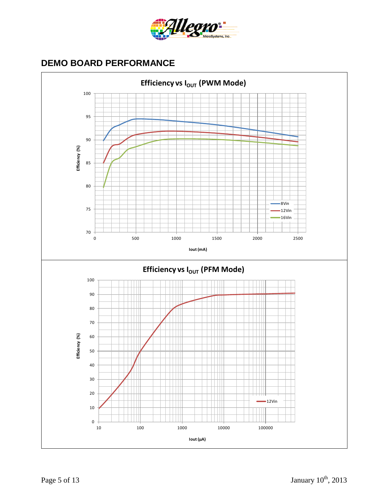

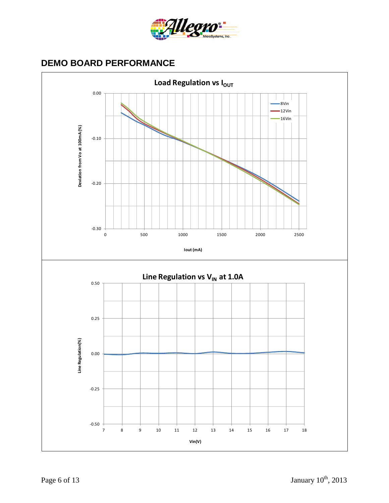

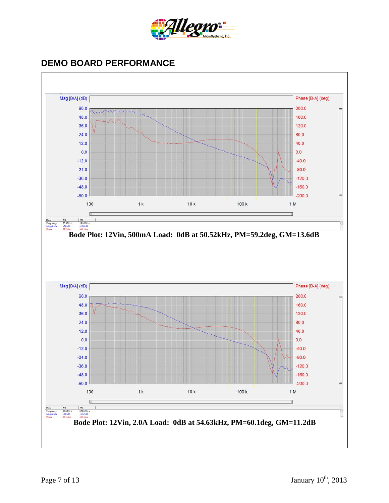

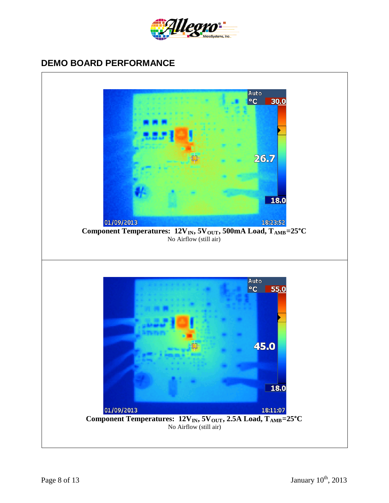

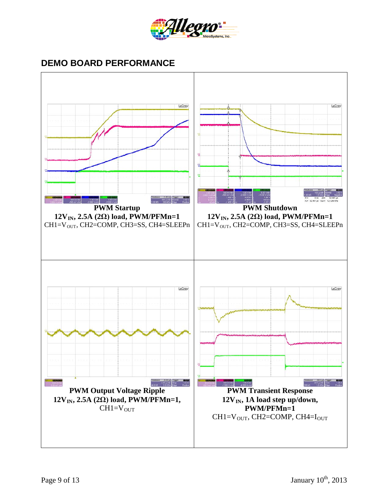

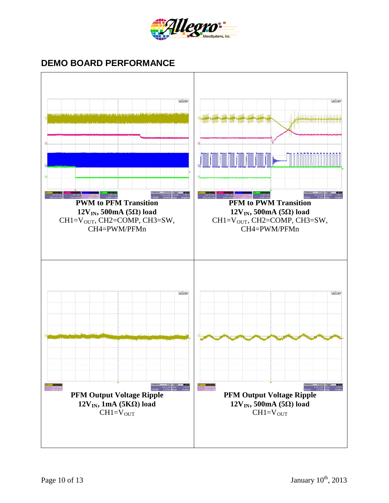

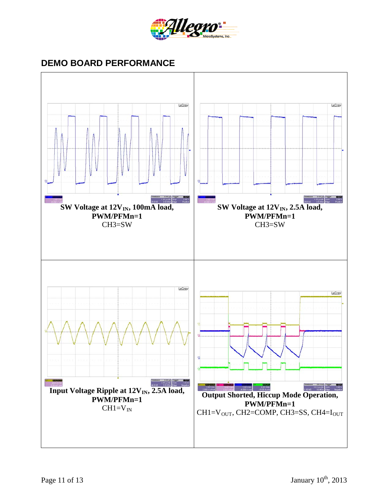

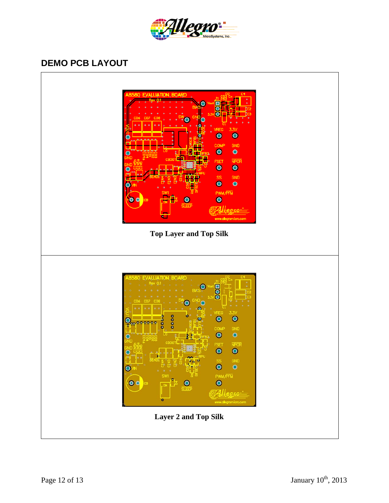

## **DEMO PCB LAYOUT**